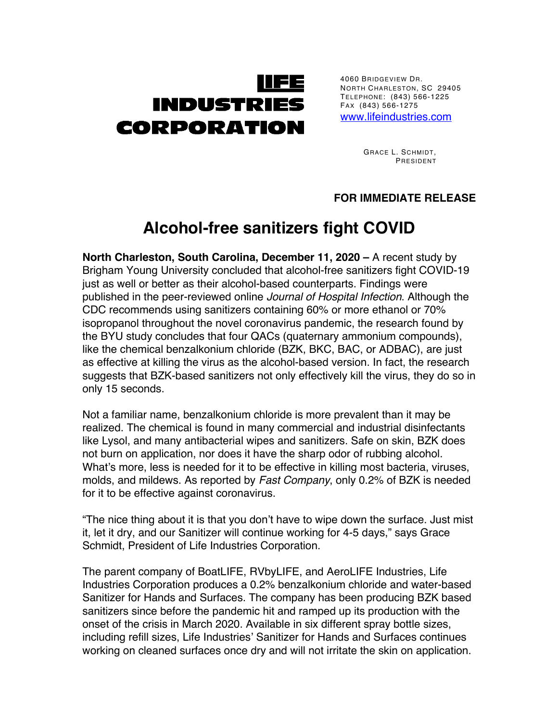

4060 BRIDGEVIEW DR. NORTH CHARLESTON, SC 29405 TELEPHONE: (843) 566-1225 FAX (843) 566-1275

www.lifeindustries.com

GRACE L. SCHMIDT, PRESIDENT

## **FOR IMMEDIATE RELEASE**

## **Alcohol-free sanitizers fight COVID**

**North Charleston, South Carolina, December 11, 2020 –** A recent study by Brigham Young University concluded that alcohol-free sanitizers fight COVID-19 just as well or better as their alcohol-based counterparts. Findings were published in the peer-reviewed online *Journal of Hospital Infection*. Although the CDC recommends using sanitizers containing 60% or more ethanol or 70% isopropanol throughout the novel coronavirus pandemic, the research found by the BYU study concludes that four QACs (quaternary ammonium compounds), like the chemical benzalkonium chloride (BZK, BKC, BAC, or ADBAC), are just as effective at killing the virus as the alcohol-based version. In fact, the research suggests that BZK-based sanitizers not only effectively kill the virus, they do so in only 15 seconds.

Not a familiar name, benzalkonium chloride is more prevalent than it may be realized. The chemical is found in many commercial and industrial disinfectants like Lysol, and many antibacterial wipes and sanitizers. Safe on skin, BZK does not burn on application, nor does it have the sharp odor of rubbing alcohol. What's more, less is needed for it to be effective in killing most bacteria, viruses, molds, and mildews. As reported by *Fast Company*, only 0.2% of BZK is needed for it to be effective against coronavirus.

"The nice thing about it is that you don't have to wipe down the surface. Just mist it, let it dry, and our Sanitizer will continue working for 4-5 days," says Grace Schmidt, President of Life Industries Corporation.

The parent company of BoatLIFE, RVbyLIFE, and AeroLIFE Industries, Life Industries Corporation produces a 0.2% benzalkonium chloride and water-based Sanitizer for Hands and Surfaces. The company has been producing BZK based sanitizers since before the pandemic hit and ramped up its production with the onset of the crisis in March 2020. Available in six different spray bottle sizes, including refill sizes, Life Industries' Sanitizer for Hands and Surfaces continues working on cleaned surfaces once dry and will not irritate the skin on application.